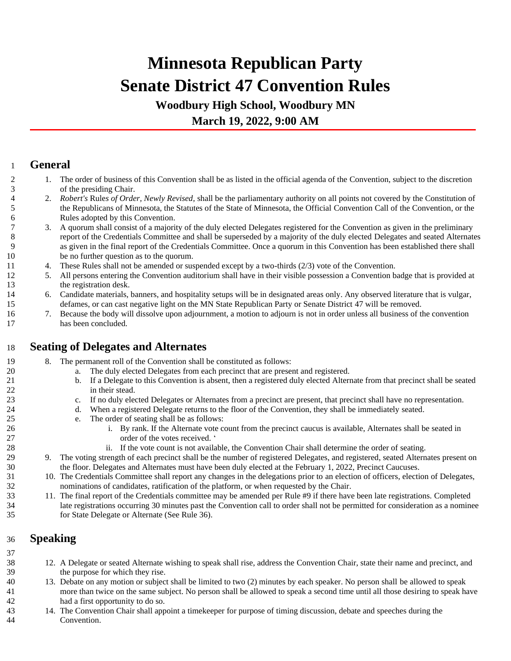# **Minnesota Republican Party Senate District 47 Convention Rules**

**Woodbury High School, Woodbury MN March 19, 2022, 9:00 AM**

### **General**

- 1. The order of business of this Convention shall be as listed in the official agenda of the Convention, subject to the discretion of the presiding Chair.
- 2. *Robert's* Rule*s of Order, Newly Revised,* shall be the parliamentary authority on all points not covered by the Constitution of the Republicans of Minnesota, the Statutes of the State of Minnesota, the Official Convention Call of the Convention, or the Rules adopted by this Convention.
- 3. A quorum shall consist of a majority of the duly elected Delegates registered for the Convention as given in the preliminary report of the Credentials Committee and shall be superseded by a majority of the duly elected Delegates and seated Alternates as given in the final report of the Credentials Committee. Once a quorum in this Convention has been established there shall be no further question as to the quorum.
- 4. These Rules shall not be amended or suspended except by a two-thirds (2/3) vote of the Convention.
- 5. All persons entering the Convention auditorium shall have in their visible possession a Convention badge that is provided at 13 the registration desk.
- 6. Candidate materials, banners, and hospitality setups will be in designated areas only. Any observed literature that is vulgar, defames, or can cast negative light on the MN State Republican Party or Senate District 47 will be removed.
- 7. Because the body will dissolve upon adjournment, a motion to adjourn is not in order unless all business of the convention has been concluded.

# **Seating of Delegates and Alternates**

- 8. The permanent roll of the Convention shall be constituted as follows:
- a. The duly elected Delegates from each precinct that are present and registered.
- b. If a Delegate to this Convention is absent, then a registered duly elected Alternate from that precinct shall be seated 22 in their stead.
- c. If no duly elected Delegates or Alternates from a precinct are present, that precinct shall have no representation.
- d. When a registered Delegate returns to the floor of the Convention, they shall be immediately seated.
- e. The order of seating shall be as follows:
- 26 i. By rank. If the Alternate vote count from the precinct caucus is available, Alternates shall be seated in 27 order of the votes received. '
- ii. If the vote count is not available, the Convention Chair shall determine the order of seating.
- 9. The voting strength of each precinct shall be the number of registered Delegates, and registered, seated Alternates present on the floor. Delegates and Alternates must have been duly elected at the February 1, 2022, Precinct Caucuses.
- 10. The Credentials Committee shall report any changes in the delegations prior to an election of officers, election of Delegates, nominations of candidates, ratification of the platform, or when requested by the Chair.
- 11. The final report of the Credentials committee may be amended per Rule #9 if there have been late registrations. Completed late registrations occurring 30 minutes past the Convention call to order shall not be permitted for consideration as a nominee for State Delegate or Alternate (See Rule 36).

#### **Speaking**

- 12. A Delegate or seated Alternate wishing to speak shall rise, address the Convention Chair, state their name and precinct, and the purpose for which they rise.
- 13. Debate on any motion or subject shall be limited to two (2) minutes by each speaker. No person shall be allowed to speak more than twice on the same subject. No person shall be allowed to speak a second time until all those desiring to speak have had a first opportunity to do so.
- 14. The Convention Chair shall appoint a timekeeper for purpose of timing discussion, debate and speeches during the Convention.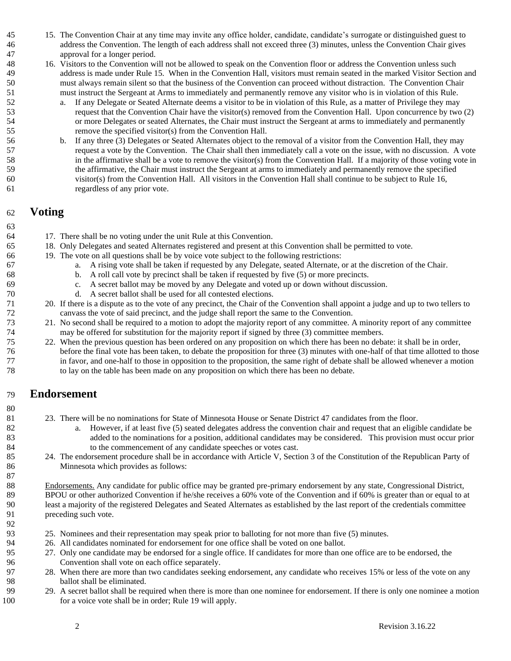- 15. The Convention Chair at any time may invite any office holder, candidate, candidate's surrogate or distinguished guest to address the Convention. The length of each address shall not exceed three (3) minutes, unless the Convention Chair gives approval for a longer period.
- 16. Visitors to the Convention will not be allowed to speak on the Convention floor or address the Convention unless such address is made under Rule 15. When in the Convention Hall, visitors must remain seated in the marked Visitor Section and must always remain silent so that the business of the Convention can proceed without distraction. The Convention Chair must instruct the Sergeant at Arms to immediately and permanently remove any visitor who is in violation of this Rule.
- a. If any Delegate or Seated Alternate deems a visitor to be in violation of this Rule, as a matter of Privilege they may request that the Convention Chair have the visitor(s) removed from the Convention Hall. Upon concurrence by two (2) or more Delegates or seated Alternates, the Chair must instruct the Sergeant at arms to immediately and permanently remove the specified visitor(s) from the Convention Hall.
- b. If any three (3) Delegates or Seated Alternates object to the removal of a visitor from the Convention Hall, they may request a vote by the Convention. The Chair shall then immediately call a vote on the issue, with no discussion. A vote in the affirmative shall be a vote to remove the visitor(s) from the Convention Hall. If a majority of those voting vote in the affirmative, the Chair must instruct the Sergeant at arms to immediately and permanently remove the specified visitor(s) from the Convention Hall. All visitors in the Convention Hall shall continue to be subject to Rule 16, regardless of any prior vote.

#### **Voting**

- 17. There shall be no voting under the unit Rule at this Convention.
- 18. Only Delegates and seated Alternates registered and present at this Convention shall be permitted to vote.
- 19. The vote on all questions shall be by voice vote subject to the following restrictions:
- a. A rising vote shall be taken if requested by any Delegate, seated Alternate, or at the discretion of the Chair.
- b. A roll call vote by precinct shall be taken if requested by five (5) or more precincts.
- c. A secret ballot may be moved by any Delegate and voted up or down without discussion.
- d. A secret ballot shall be used for all contested elections.
- 20. If there is a dispute as to the vote of any precinct, the Chair of the Convention shall appoint a judge and up to two tellers to canvass the vote of said precinct, and the judge shall report the same to the Convention.
- 21. No second shall be required to a motion to adopt the majority report of any committee. A minority report of any committee may be offered for substitution for the majority report if signed by three (3) committee members.
- 22. When the previous question has been ordered on any proposition on which there has been no debate: it shall be in order, before the final vote has been taken, to debate the proposition for three (3) minutes with one-half of that time allotted to those in favor, and one-half to those in opposition to the proposition, the same right of debate shall be allowed whenever a motion to lay on the table has been made on any proposition on which there has been no debate.

# **Endorsement**

- 23. There will be no nominations for State of Minnesota House or Senate District 47 candidates from the floor.
- a. However, if at least five (5) seated delegates address the convention chair and request that an eligible candidate be added to the nominations for a position, additional candidates may be considered. This provision must occur prior to the commencement of any candidate speeches or votes cast.
- 24. The endorsement procedure shall be in accordance with Article V, Section 3 of the Constitution of the Republican Party of Minnesota which provides as follows:

88 Endorsements. Any candidate for public office may be granted pre-primary endorsement by any state, Congressional District, BPOU or other authorized Convention if he/she receives a 60% vote of the Convention and if 60% is greater than or equal to at least a majority of the registered Delegates and Seated Alternates as established by the last report of the credentials committee preceding such vote.

- 25. Nominees and their representation may speak prior to balloting for not more than five (5) minutes.
- 26. All candidates nominated for endorsement for one office shall be voted on one ballot.
- 27. Only one candidate may be endorsed for a single office. If candidates for more than one office are to be endorsed, the Convention shall vote on each office separately.
- 28. When there are more than two candidates seeking endorsement, any candidate who receives 15% or less of the vote on any ballot shall be eliminated.
- 29. A secret ballot shall be required when there is more than one nominee for endorsement. If there is only one nominee a motion 100 for a voice vote shall be in order; Rule 19 will apply.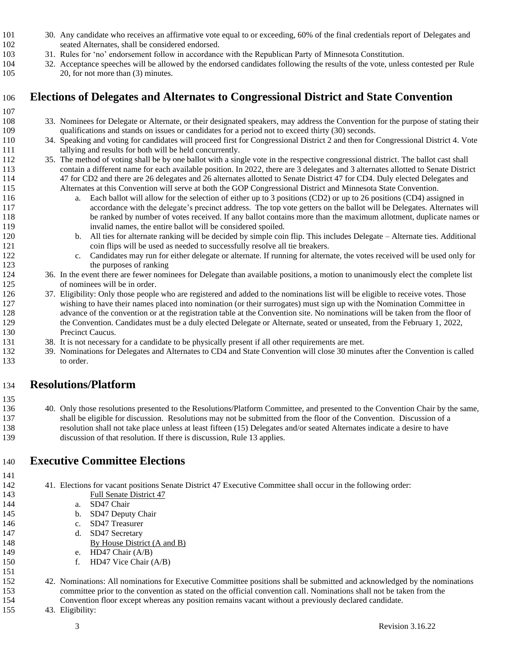- 30. Any candidate who receives an affirmative vote equal to or exceeding, 60% of the final credentials report of Delegates and seated Alternates, shall be considered endorsed.
- 31. Rules for 'no' endorsement follow in accordance with the Republican Party of Minnesota Constitution.
- 32. Acceptance speeches will be allowed by the endorsed candidates following the results of the vote, unless contested per Rule 105 20, for not more than (3) minutes.

# **Elections of Delegates and Alternates to Congressional District and State Convention**

- 
- 33. Nominees for Delegate or Alternate, or their designated speakers, may address the Convention for the purpose of stating their qualifications and stands on issues or candidates for a period not to exceed thirty (30) seconds.
- 34. Speaking and voting for candidates will proceed first for Congressional District 2 and then for Congressional District 4. Vote tallying and results for both will be held concurrently.
- 35. The method of voting shall be by one ballot with a single vote in the respective congressional district. The ballot cast shall contain a different name for each available position. In 2022, there are 3 delegates and 3 alternates allotted to Senate District 47 for CD2 and there are 26 delegates and 26 alternates allotted to Senate District 47 for CD4. Duly elected Delegates and Alternates at this Convention will serve at both the GOP Congressional District and Minnesota State Convention.
- a. Each ballot will allow for the selection of either up to 3 positions (CD2) or up to 26 positions (CD4) assigned in accordance with the delegate's precinct address. The top vote getters on the ballot will be Delegates. Alternates will be ranked by number of votes received. If any ballot contains more than the maximum allotment, duplicate names or invalid names, the entire ballot will be considered spoiled.
- b. All ties for alternate ranking will be decided by simple coin flip. This includes Delegate Alternate ties. Additional coin flips will be used as needed to successfully resolve all tie breakers.
- c. Candidates may run for either delegate or alternate. If running for alternate, the votes received will be used only for 123 the purposes of ranking
- 36. In the event there are fewer nominees for Delegate than available positions, a motion to unanimously elect the complete list of nominees will be in order.
- 37. Eligibility: Only those people who are registered and added to the nominations list will be eligible to receive votes. Those wishing to have their names placed into nomination (or their surrogates) must sign up with the Nomination Committee in advance of the convention or at the registration table at the Convention site. No nominations will be taken from the floor of the Convention. Candidates must be a duly elected Delegate or Alternate, seated or unseated, from the February 1, 2022, Precinct Caucus.
- 38. It is not necessary for a candidate to be physically present if all other requirements are met.
- 39. Nominations for Delegates and Alternates to CD4 and State Convention will close 30 minutes after the Convention is called to order.

# **Resolutions/Platform**

 40. Only those resolutions presented to the Resolutions/Platform Committee, and presented to the Convention Chair by the same, shall be eligible for discussion. Resolutions may not be submitted from the floor of the Convention. Discussion of a resolution shall not take place unless at least fifteen (15) Delegates and/or seated Alternates indicate a desire to have discussion of that resolution. If there is discussion, Rule 13 applies.

# **Executive Committee Elections**

41. Elections for vacant positions Senate District 47 Executive Committee shall occur in the following order:

- Full Senate District 47
- a. SD47 Chair
- b. SD47 Deputy Chair
- c. SD47 Treasurer
- d. SD47 Secretary
- 148 By House District (A and B)
- e. HD47 Chair (A/B)
- 150 f. HD47 Vice Chair (A/B)
- 42. Nominations: All nominations for Executive Committee positions shall be submitted and acknowledged by the nominations committee prior to the convention as stated on the official convention call. Nominations shall not be taken from the Convention floor except whereas any position remains vacant without a previously declared candidate.
- 43. Eligibility: